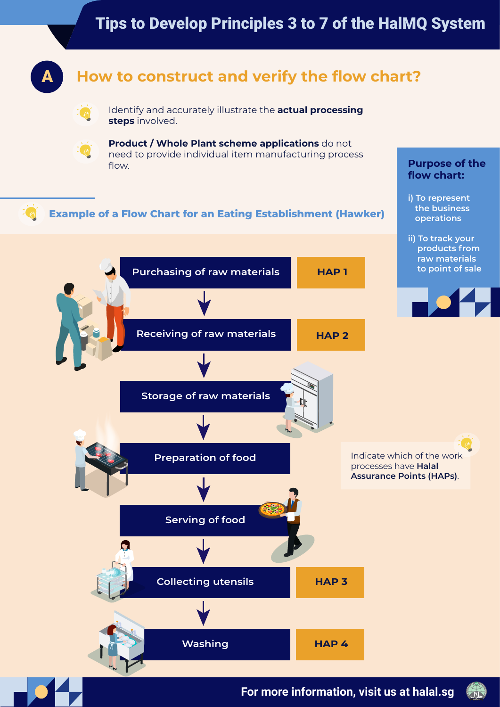## Tips to Develop Principles 3 to 7 of the HalMQ System



## A **How to construct and verify the flow chart?**



Identify and accurately illustrate the **actual processing steps** involved.

**Product / Whole Plant scheme applications** do not need to provide individual item manufacturing process flow. **Purpose of the** 

#### $\mu_{1}$ **Example of a Flow Chart for an Eating Establishment (Hawker)**







**flow chart:** 

**i) To represent the business operations**